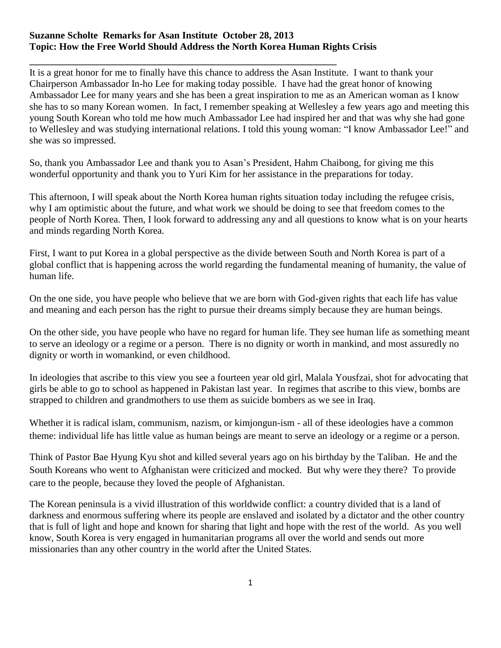## **Suzanne Scholte Remarks for Asan Institute October 28, 2013 Topic: How the Free World Should Address the North Korea Human Rights Crisis**

\_\_\_\_\_\_\_\_\_\_\_\_\_\_\_\_\_\_\_\_\_\_\_\_\_\_\_\_\_\_\_\_\_\_\_\_\_\_\_\_\_\_\_\_\_\_\_ It is a great honor for me to finally have this chance to address the Asan Institute. I want to thank your Chairperson Ambassador In-ho Lee for making today possible. I have had the great honor of knowing Ambassador Lee for many years and she has been a great inspiration to me as an American woman as I know she has to so many Korean women. In fact, I remember speaking at Wellesley a few years ago and meeting this young South Korean who told me how much Ambassador Lee had inspired her and that was why she had gone to Wellesley and was studying international relations. I told this young woman: "I know Ambassador Lee!" and she was so impressed.

So, thank you Ambassador Lee and thank you to Asan's President, Hahm Chaibong, for giving me this wonderful opportunity and thank you to Yuri Kim for her assistance in the preparations for today.

This afternoon, I will speak about the North Korea human rights situation today including the refugee crisis, why I am optimistic about the future, and what work we should be doing to see that freedom comes to the people of North Korea. Then, I look forward to addressing any and all questions to know what is on your hearts and minds regarding North Korea.

First, I want to put Korea in a global perspective as the divide between South and North Korea is part of a global conflict that is happening across the world regarding the fundamental meaning of humanity, the value of human life.

On the one side, you have people who believe that we are born with God-given rights that each life has value and meaning and each person has the right to pursue their dreams simply because they are human beings.

On the other side, you have people who have no regard for human life. They see human life as something meant to serve an ideology or a regime or a person. There is no dignity or worth in mankind, and most assuredly no dignity or worth in womankind, or even childhood.

In ideologies that ascribe to this view you see a fourteen year old girl, Malala Yousfzai, shot for advocating that girls be able to go to school as happened in Pakistan last year. In regimes that ascribe to this view, bombs are strapped to children and grandmothers to use them as suicide bombers as we see in Iraq.

Whether it is radical islam, communism, nazism, or kimjongun-ism - all of these ideologies have a common theme: individual life has little value as human beings are meant to serve an ideology or a regime or a person.

Think of Pastor Bae Hyung Kyu shot and killed several years ago on his birthday by the Taliban. He and the South Koreans who went to Afghanistan were criticized and mocked. But why were they there? To provide care to the people, because they loved the people of Afghanistan.

The Korean peninsula is a vivid illustration of this worldwide conflict: a country divided that is a land of darkness and enormous suffering where its people are enslaved and isolated by a dictator and the other country that is full of light and hope and known for sharing that light and hope with the rest of the world. As you well know, South Korea is very engaged in humanitarian programs all over the world and sends out more missionaries than any other country in the world after the United States.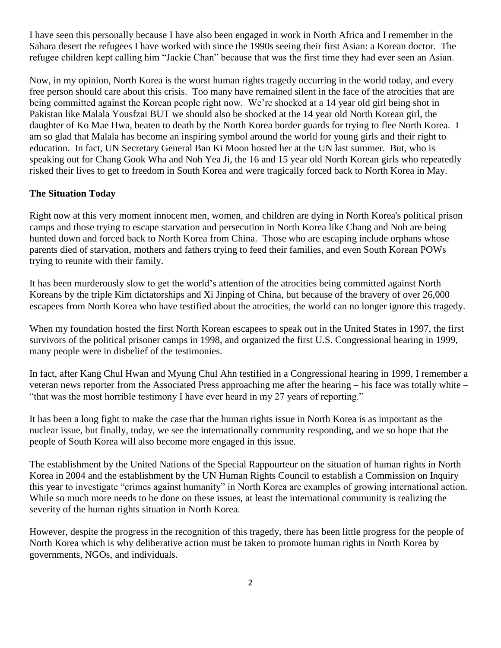I have seen this personally because I have also been engaged in work in North Africa and I remember in the Sahara desert the refugees I have worked with since the 1990s seeing their first Asian: a Korean doctor. The refugee children kept calling him "Jackie Chan" because that was the first time they had ever seen an Asian.

Now, in my opinion, North Korea is the worst human rights tragedy occurring in the world today, and every free person should care about this crisis. Too many have remained silent in the face of the atrocities that are being committed against the Korean people right now. We're shocked at a 14 year old girl being shot in Pakistan like Malala Yousfzai BUT we should also be shocked at the 14 year old North Korean girl, the daughter of Ko Mae Hwa, beaten to death by the North Korea border guards for trying to flee North Korea. I am so glad that Malala has become an inspiring symbol around the world for young girls and their right to education. In fact, UN Secretary General Ban Ki Moon hosted her at the UN last summer. But, who is speaking out for Chang Gook Wha and Noh Yea Ji, the 16 and 15 year old North Korean girls who repeatedly risked their lives to get to freedom in South Korea and were tragically forced back to North Korea in May.

## **The Situation Today**

Right now at this very moment innocent men, women, and children are dying in North Korea's political prison camps and those trying to escape starvation and persecution in North Korea like Chang and Noh are being hunted down and forced back to North Korea from China. Those who are escaping include orphans whose parents died of starvation, mothers and fathers trying to feed their families, and even South Korean POWs trying to reunite with their family.

It has been murderously slow to get the world's attention of the atrocities being committed against North Koreans by the triple Kim dictatorships and Xi Jinping of China, but because of the bravery of over 26,000 escapees from North Korea who have testified about the atrocities, the world can no longer ignore this tragedy.

When my foundation hosted the first North Korean escapees to speak out in the United States in 1997, the first survivors of the political prisoner camps in 1998, and organized the first U.S. Congressional hearing in 1999, many people were in disbelief of the testimonies.

In fact, after Kang Chul Hwan and Myung Chul Ahn testified in a Congressional hearing in 1999, I remember a veteran news reporter from the Associated Press approaching me after the hearing – his face was totally white – "that was the most horrible testimony I have ever heard in my 27 years of reporting."

It has been a long fight to make the case that the human rights issue in North Korea is as important as the nuclear issue, but finally, today, we see the internationally community responding, and we so hope that the people of South Korea will also become more engaged in this issue.

The establishment by the United Nations of the Special Rappourteur on the situation of human rights in North Korea in 2004 and the establishment by the UN Human Rights Council to establish a Commission on Inquiry this year to investigate "crimes against humanity" in North Korea are examples of growing international action. While so much more needs to be done on these issues, at least the international community is realizing the severity of the human rights situation in North Korea.

However, despite the progress in the recognition of this tragedy, there has been little progress for the people of North Korea which is why deliberative action must be taken to promote human rights in North Korea by governments, NGOs, and individuals.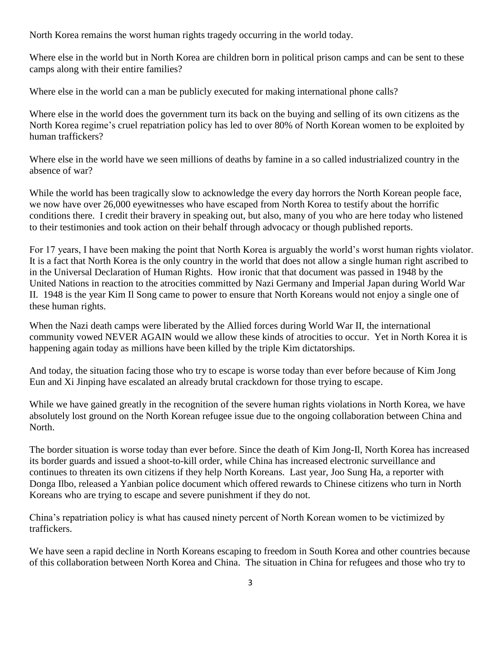North Korea remains the worst human rights tragedy occurring in the world today.

Where else in the world but in North Korea are children born in political prison camps and can be sent to these camps along with their entire families?

Where else in the world can a man be publicly executed for making international phone calls?

Where else in the world does the government turn its back on the buying and selling of its own citizens as the North Korea regime's cruel repatriation policy has led to over 80% of North Korean women to be exploited by human traffickers?

Where else in the world have we seen millions of deaths by famine in a so called industrialized country in the absence of war?

While the world has been tragically slow to acknowledge the every day horrors the North Korean people face, we now have over 26,000 eyewitnesses who have escaped from North Korea to testify about the horrific conditions there. I credit their bravery in speaking out, but also, many of you who are here today who listened to their testimonies and took action on their behalf through advocacy or though published reports.

For 17 years, I have been making the point that North Korea is arguably the world's worst human rights violator. It is a fact that North Korea is the only country in the world that does not allow a single human right ascribed to in the Universal Declaration of Human Rights. How ironic that that document was passed in 1948 by the United Nations in reaction to the atrocities committed by Nazi Germany and Imperial Japan during World War II. 1948 is the year Kim Il Song came to power to ensure that North Koreans would not enjoy a single one of these human rights.

When the Nazi death camps were liberated by the Allied forces during World War II, the international community vowed NEVER AGAIN would we allow these kinds of atrocities to occur. Yet in North Korea it is happening again today as millions have been killed by the triple Kim dictatorships.

And today, the situation facing those who try to escape is worse today than ever before because of Kim Jong Eun and Xi Jinping have escalated an already brutal crackdown for those trying to escape.

While we have gained greatly in the recognition of the severe human rights violations in North Korea, we have absolutely lost ground on the North Korean refugee issue due to the ongoing collaboration between China and North.

The border situation is worse today than ever before. Since the death of Kim Jong-Il, North Korea has increased its border guards and issued a shoot-to-kill order, while China has increased electronic surveillance and continues to threaten its own citizens if they help North Koreans. Last year, Joo Sung Ha, a reporter with Donga Ilbo, released a Yanbian police document which offered rewards to Chinese citizens who turn in North Koreans who are trying to escape and severe punishment if they do not.

China's repatriation policy is what has caused ninety percent of North Korean women to be victimized by traffickers.

We have seen a rapid decline in North Koreans escaping to freedom in South Korea and other countries because of this collaboration between North Korea and China. The situation in China for refugees and those who try to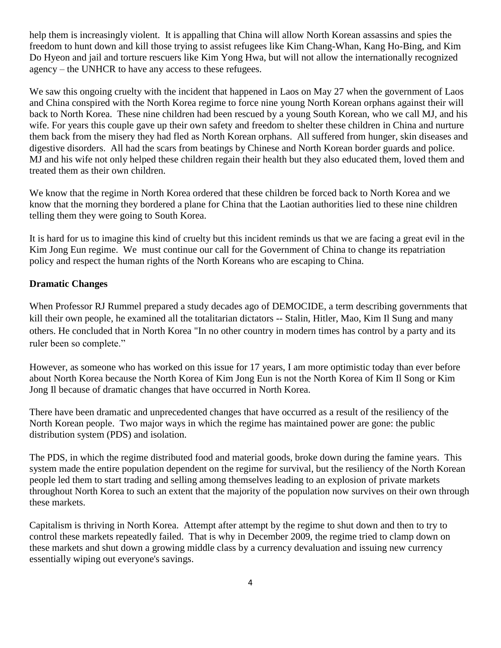help them is increasingly violent. It is appalling that China will allow North Korean assassins and spies the freedom to hunt down and kill those trying to assist refugees like Kim Chang-Whan, Kang Ho-Bing, and Kim Do Hyeon and jail and torture rescuers like Kim Yong Hwa, but will not allow the internationally recognized agency – the UNHCR to have any access to these refugees.

We saw this ongoing cruelty with the incident that happened in Laos on May 27 when the government of Laos and China conspired with the North Korea regime to force nine young North Korean orphans against their will back to North Korea. These nine children had been rescued by a young South Korean, who we call MJ, and his wife. For years this couple gave up their own safety and freedom to shelter these children in China and nurture them back from the misery they had fled as North Korean orphans. All suffered from hunger, skin diseases and digestive disorders. All had the scars from beatings by Chinese and North Korean border guards and police. MJ and his wife not only helped these children regain their health but they also educated them, loved them and treated them as their own children.

We know that the regime in North Korea ordered that these children be forced back to North Korea and we know that the morning they bordered a plane for China that the Laotian authorities lied to these nine children telling them they were going to South Korea.

It is hard for us to imagine this kind of cruelty but this incident reminds us that we are facing a great evil in the Kim Jong Eun regime. We must continue our call for the Government of China to change its repatriation policy and respect the human rights of the North Koreans who are escaping to China.

## **Dramatic Changes**

When Professor RJ Rummel prepared a study decades ago of DEMOCIDE, a term describing governments that kill their own people, he examined all the totalitarian dictators -- Stalin, Hitler, Mao, Kim Il Sung and many others. He concluded that in North Korea "In no other country in modern times has control by a party and its ruler been so complete."

However, as someone who has worked on this issue for 17 years, I am more optimistic today than ever before about North Korea because the North Korea of Kim Jong Eun is not the North Korea of Kim Il Song or Kim Jong Il because of dramatic changes that have occurred in North Korea.

There have been dramatic and unprecedented changes that have occurred as a result of the resiliency of the North Korean people. Two major ways in which the regime has maintained power are gone: the public distribution system (PDS) and isolation.

The PDS, in which the regime distributed food and material goods, broke down during the famine years. This system made the entire population dependent on the regime for survival, but the resiliency of the North Korean people led them to start trading and selling among themselves leading to an explosion of private markets throughout North Korea to such an extent that the majority of the population now survives on their own through these markets.

Capitalism is thriving in North Korea. Attempt after attempt by the regime to shut down and then to try to control these markets repeatedly failed. That is why in December 2009, the regime tried to clamp down on these markets and shut down a growing middle class by a currency devaluation and issuing new currency essentially wiping out everyone's savings.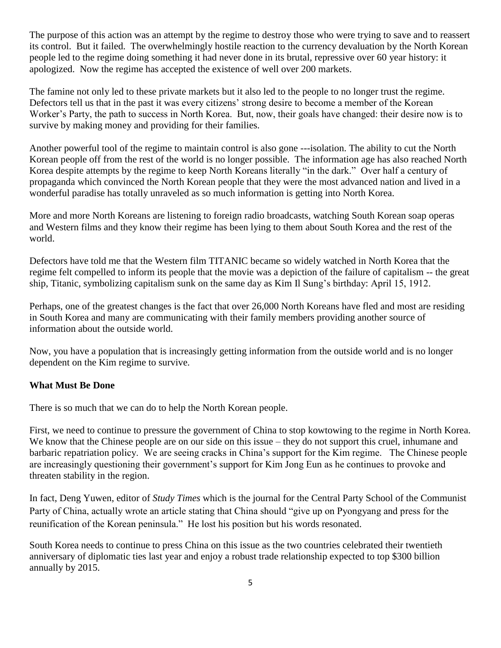The purpose of this action was an attempt by the regime to destroy those who were trying to save and to reassert its control. But it failed. The overwhelmingly hostile reaction to the currency devaluation by the North Korean people led to the regime doing something it had never done in its brutal, repressive over 60 year history: it apologized. Now the regime has accepted the existence of well over 200 markets.

The famine not only led to these private markets but it also led to the people to no longer trust the regime. Defectors tell us that in the past it was every citizens' strong desire to become a member of the Korean Worker's Party, the path to success in North Korea. But, now, their goals have changed: their desire now is to survive by making money and providing for their families.

Another powerful tool of the regime to maintain control is also gone ---isolation. The ability to cut the North Korean people off from the rest of the world is no longer possible. The information age has also reached North Korea despite attempts by the regime to keep North Koreans literally "in the dark." Over half a century of propaganda which convinced the North Korean people that they were the most advanced nation and lived in a wonderful paradise has totally unraveled as so much information is getting into North Korea.

More and more North Koreans are listening to foreign radio broadcasts, watching South Korean soap operas and Western films and they know their regime has been lying to them about South Korea and the rest of the world.

Defectors have told me that the Western film TITANIC became so widely watched in North Korea that the regime felt compelled to inform its people that the movie was a depiction of the failure of capitalism -- the great ship, Titanic, symbolizing capitalism sunk on the same day as Kim Il Sung's birthday: April 15, 1912.

Perhaps, one of the greatest changes is the fact that over 26,000 North Koreans have fled and most are residing in South Korea and many are communicating with their family members providing another source of information about the outside world.

Now, you have a population that is increasingly getting information from the outside world and is no longer dependent on the Kim regime to survive.

## **What Must Be Done**

There is so much that we can do to help the North Korean people.

First, we need to continue to pressure the government of China to stop kowtowing to the regime in North Korea. We know that the Chinese people are on our side on this issue – they do not support this cruel, inhumane and barbaric repatriation policy. We are seeing cracks in China's support for the Kim regime. The Chinese people are increasingly questioning their government's support for Kim Jong Eun as he continues to provoke and threaten stability in the region.

In fact, Deng Yuwen, editor of *Study Times* which is the journal for the Central Party School of the Communist Party of China, actually wrote an article stating that China should "give up on Pyongyang and press for the reunification of the Korean peninsula." He lost his position but his words resonated.

South Korea needs to continue to press China on this issue as the two countries celebrated their twentieth anniversary of diplomatic ties last year and enjoy a robust trade relationship expected to top \$300 billion annually by 2015.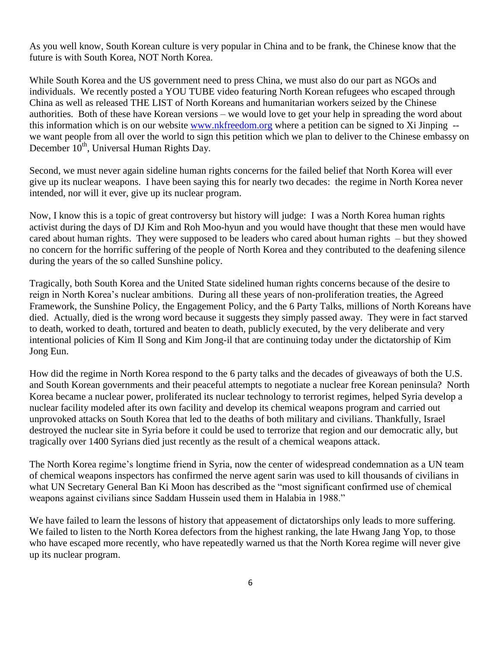As you well know, South Korean culture is very popular in China and to be frank, the Chinese know that the future is with South Korea, NOT North Korea.

While South Korea and the US government need to press China, we must also do our part as NGOs and individuals. We recently posted a YOU TUBE video featuring North Korean refugees who escaped through China as well as released THE LIST of North Koreans and humanitarian workers seized by the Chinese authorities. Both of these have Korean versions – we would love to get your help in spreading the word about this information which is on our website [www.nkfreedom.org](http://www.nkfreedom.org/) where a petition can be signed to Xi Jinping - we want people from all over the world to sign this petition which we plan to deliver to the Chinese embassy on December 10<sup>th</sup>, Universal Human Rights Day.

Second, we must never again sideline human rights concerns for the failed belief that North Korea will ever give up its nuclear weapons. I have been saying this for nearly two decades: the regime in North Korea never intended, nor will it ever, give up its nuclear program.

Now, I know this is a topic of great controversy but history will judge: I was a North Korea human rights activist during the days of DJ Kim and Roh Moo-hyun and you would have thought that these men would have cared about human rights. They were supposed to be leaders who cared about human rights – but they showed no concern for the horrific suffering of the people of North Korea and they contributed to the deafening silence during the years of the so called Sunshine policy.

Tragically, both South Korea and the United State sidelined human rights concerns because of the desire to reign in North Korea's nuclear ambitions. During all these years of non-proliferation treaties, the Agreed Framework, the Sunshine Policy, the Engagement Policy, and the 6 Party Talks, millions of North Koreans have died. Actually, died is the wrong word because it suggests they simply passed away. They were in fact starved to death, worked to death, tortured and beaten to death, publicly executed, by the very deliberate and very intentional policies of Kim Il Song and Kim Jong-il that are continuing today under the dictatorship of Kim Jong Eun.

How did the regime in North Korea respond to the 6 party talks and the decades of giveaways of both the U.S. and South Korean governments and their peaceful attempts to negotiate a nuclear free Korean peninsula? North Korea became a nuclear power, proliferated its nuclear technology to terrorist regimes, helped Syria develop a nuclear facility modeled after its own facility and develop its chemical weapons program and carried out unprovoked attacks on South Korea that led to the deaths of both military and civilians. Thankfully, Israel destroyed the nuclear site in Syria before it could be used to terrorize that region and our democratic ally, but tragically over 1400 Syrians died just recently as the result of a chemical weapons attack.

The North Korea regime's longtime friend in Syria, now the center of widespread condemnation as a UN team of chemical weapons inspectors has confirmed the nerve agent sarin was used to kill thousands of civilians in what UN Secretary General Ban Ki Moon has described as the "most significant confirmed use of chemical weapons against civilians since Saddam Hussein used them in Halabia in 1988."

We have failed to learn the lessons of history that appeasement of dictatorships only leads to more suffering. We failed to listen to the North Korea defectors from the highest ranking, the late Hwang Jang Yop, to those who have escaped more recently, who have repeatedly warned us that the North Korea regime will never give up its nuclear program.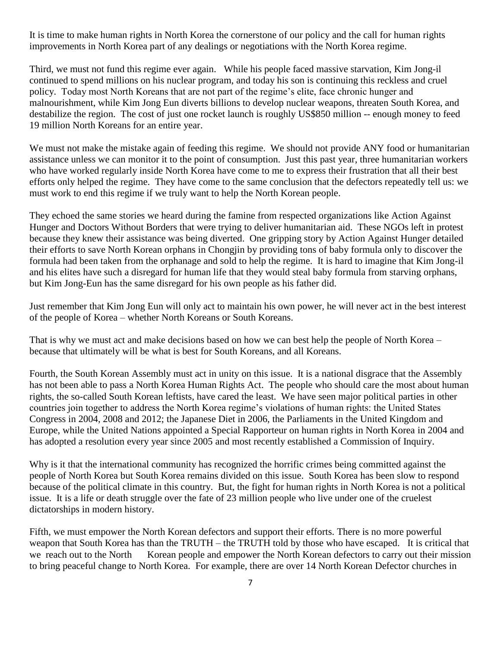It is time to make human rights in North Korea the cornerstone of our policy and the call for human rights improvements in North Korea part of any dealings or negotiations with the North Korea regime.

Third, we must not fund this regime ever again. While his people faced massive starvation, Kim Jong-il continued to spend millions on his nuclear program, and today his son is continuing this reckless and cruel policy. Today most North Koreans that are not part of the regime's elite, face chronic hunger and malnourishment, while Kim Jong Eun diverts billions to develop nuclear weapons, threaten South Korea, and destabilize the region. The cost of just one rocket launch is roughly US\$850 million -- enough money to feed 19 million North Koreans for an entire year.

We must not make the mistake again of feeding this regime. We should not provide ANY food or humanitarian assistance unless we can monitor it to the point of consumption. Just this past year, three humanitarian workers who have worked regularly inside North Korea have come to me to express their frustration that all their best efforts only helped the regime. They have come to the same conclusion that the defectors repeatedly tell us: we must work to end this regime if we truly want to help the North Korean people.

They echoed the same stories we heard during the famine from respected organizations like Action Against Hunger and Doctors Without Borders that were trying to deliver humanitarian aid. These NGOs left in protest because they knew their assistance was being diverted. One gripping story by Action Against Hunger detailed their efforts to save North Korean orphans in Chongjin by providing tons of baby formula only to discover the formula had been taken from the orphanage and sold to help the regime. It is hard to imagine that Kim Jong-il and his elites have such a disregard for human life that they would steal baby formula from starving orphans, but Kim Jong-Eun has the same disregard for his own people as his father did.

Just remember that Kim Jong Eun will only act to maintain his own power, he will never act in the best interest of the people of Korea – whether North Koreans or South Koreans.

That is why we must act and make decisions based on how we can best help the people of North Korea – because that ultimately will be what is best for South Koreans, and all Koreans.

Fourth, the South Korean Assembly must act in unity on this issue. It is a national disgrace that the Assembly has not been able to pass a North Korea Human Rights Act. The people who should care the most about human rights, the so-called South Korean leftists, have cared the least. We have seen major political parties in other countries join together to address the North Korea regime's violations of human rights: the United States Congress in 2004, 2008 and 2012; the Japanese Diet in 2006, the Parliaments in the United Kingdom and Europe, while the United Nations appointed a Special Rapporteur on human rights in North Korea in 2004 and has adopted a resolution every year since 2005 and most recently established a Commission of Inquiry.

Why is it that the international community has recognized the horrific crimes being committed against the people of North Korea but South Korea remains divided on this issue. South Korea has been slow to respond because of the political climate in this country. But, the fight for human rights in North Korea is not a political issue. It is a life or death struggle over the fate of 23 million people who live under one of the cruelest dictatorships in modern history.

Fifth, we must empower the North Korean defectors and support their efforts. There is no more powerful weapon that South Korea has than the TRUTH – the TRUTH told by those who have escaped. It is critical that we reach out to the North Korean people and empower the North Korean defectors to carry out their mission to bring peaceful change to North Korea. For example, there are over 14 North Korean Defector churches in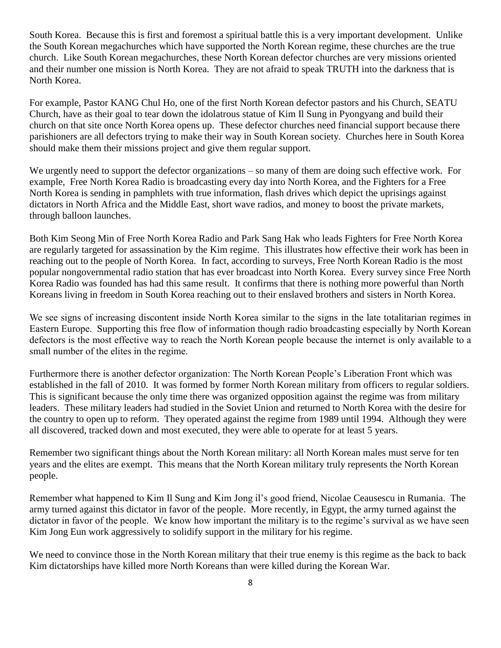South Korea. Because this is first and foremost a spiritual battle this is a very important development. Unlike the South Korean megachurches which have supported the North Korean regime, these churches are the true church. Like South Korean megachurches, these North Korean defector churches are very missions oriented and their number one mission is North Korea. They are not afraid to speak TRUTH into the darkness that is North Korea.

For example, Pastor KANG Chul Ho, one of the first North Korean defector pastors and his Church, SEATU Church, have as their goal to tear down the idolatrous statue of Kim Il Sung in Pyongyang and build their church on that site once North Korea opens up. These defector churches need financial support because there parishioners are all defectors trying to make their way in South Korean society. Churches here in South Korea should make them their missions project and give them regular support.

We urgently need to support the defector organizations – so many of them are doing such effective work. For example, Free North Korea Radio is broadcasting every day into North Korea, and the Fighters for a Free North Korea is sending in pamphlets with true information, flash drives which depict the uprisings against dictators in North Africa and the Middle East, short wave radios, and money to boost the private markets, through balloon launches.

Both Kim Seong Min of Free North Korea Radio and Park Sang Hak who leads Fighters for Free North Korea are regularly targeted for assassination by the Kim regime. This illustrates how effective their work has been in reaching out to the people of North Korea. In fact, according to surveys, Free North Korean Radio is the most popular nongovernmental radio station that has ever broadcast into North Korea. Every survey since Free North Korea Radio was founded has had this same result. It confirms that there is nothing more powerful than North Koreans living in freedom in South Korea reaching out to their enslaved brothers and sisters in North Korea.

We see signs of increasing discontent inside North Korea similar to the signs in the late totalitarian regimes in Eastern Europe. Supporting this free flow of information though radio broadcasting especially by North Korean defectors is the most effective way to reach the North Korean people because the internet is only available to a small number of the elites in the regime.

Furthermore there is another defector organization: The North Korean People's Liberation Front which was established in the fall of 2010. It was formed by former North Korean military from officers to regular soldiers. This is significant because the only time there was organized opposition against the regime was from military leaders. These military leaders had studied in the Soviet Union and returned to North Korea with the desire for the country to open up to reform. They operated against the regime from 1989 until 1994. Although they were all discovered, tracked down and most executed, they were able to operate for at least 5 years.

Remember two significant things about the North Korean military: all North Korean males must serve for ten years and the elites are exempt. This means that the North Korean military truly represents the North Korean people.

Remember what happened to Kim Il Sung and Kim Jong il's good friend, Nicolae Ceausescu in Rumania. The army turned against this dictator in favor of the people. More recently, in Egypt, the army turned against the dictator in favor of the people. We know how important the military is to the regime's survival as we have seen Kim Jong Eun work aggressively to solidify support in the military for his regime.

We need to convince those in the North Korean military that their true enemy is this regime as the back to back Kim dictatorships have killed more North Koreans than were killed during the Korean War.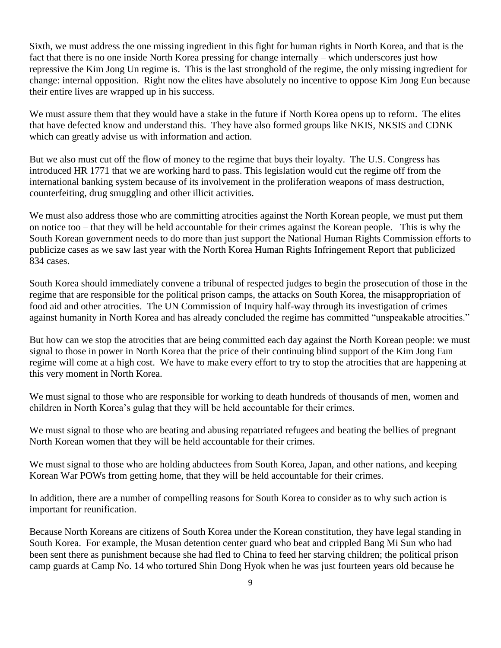Sixth, we must address the one missing ingredient in this fight for human rights in North Korea, and that is the fact that there is no one inside North Korea pressing for change internally – which underscores just how repressive the Kim Jong Un regime is. This is the last stronghold of the regime, the only missing ingredient for change: internal opposition. Right now the elites have absolutely no incentive to oppose Kim Jong Eun because their entire lives are wrapped up in his success.

We must assure them that they would have a stake in the future if North Korea opens up to reform. The elites that have defected know and understand this. They have also formed groups like NKIS, NKSIS and CDNK which can greatly advise us with information and action.

But we also must cut off the flow of money to the regime that buys their loyalty. The U.S. Congress has introduced HR 1771 that we are working hard to pass. This legislation would cut the regime off from the international banking system because of its involvement in the proliferation weapons of mass destruction, counterfeiting, drug smuggling and other illicit activities.

We must also address those who are committing atrocities against the North Korean people, we must put them on notice too – that they will be held accountable for their crimes against the Korean people. This is why the South Korean government needs to do more than just support the National Human Rights Commission efforts to publicize cases as we saw last year with the North Korea Human Rights Infringement Report that publicized 834 cases.

South Korea should immediately convene a tribunal of respected judges to begin the prosecution of those in the regime that are responsible for the political prison camps, the attacks on South Korea, the misappropriation of food aid and other atrocities. The UN Commission of Inquiry half-way through its investigation of crimes against humanity in North Korea and has already concluded the regime has committed "unspeakable atrocities."

But how can we stop the atrocities that are being committed each day against the North Korean people: we must signal to those in power in North Korea that the price of their continuing blind support of the Kim Jong Eun regime will come at a high cost. We have to make every effort to try to stop the atrocities that are happening at this very moment in North Korea.

We must signal to those who are responsible for working to death hundreds of thousands of men, women and children in North Korea's gulag that they will be held accountable for their crimes.

We must signal to those who are beating and abusing repatriated refugees and beating the bellies of pregnant North Korean women that they will be held accountable for their crimes.

We must signal to those who are holding abductees from South Korea, Japan, and other nations, and keeping Korean War POWs from getting home, that they will be held accountable for their crimes.

In addition, there are a number of compelling reasons for South Korea to consider as to why such action is important for reunification.

Because North Koreans are citizens of South Korea under the Korean constitution, they have legal standing in South Korea. For example, the Musan detention center guard who beat and crippled Bang Mi Sun who had been sent there as punishment because she had fled to China to feed her starving children; the political prison camp guards at Camp No. 14 who tortured Shin Dong Hyok when he was just fourteen years old because he